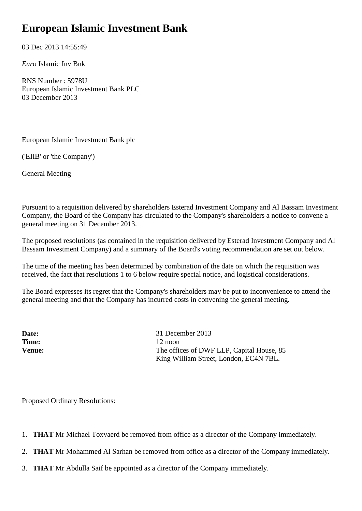## **European Islamic Investment Bank**

03 Dec 2013 14:55:49

*Euro* Islamic Inv Bnk

RNS Number : 5978U European Islamic Investment Bank PLC 03 December 2013

European Islamic Investment Bank plc

('EIIB' or 'the Company')

General Meeting

Pursuant to a requisition delivered by shareholders Esterad Investment Company and Al Bassam Investment Company, the Board of the Company has circulated to the Company's shareholders a notice to convene a general meeting on 31 December 2013.

The proposed resolutions (as contained in the requisition delivered by Esterad Investment Company and Al Bassam Investment Company) and a summary of the Board's voting recommendation are set out below.

The time of the meeting has been determined by combination of the date on which the requisition was received, the fact that resolutions 1 to 6 below require special notice, and logistical considerations.

The Board expresses its regret that the Company's shareholders may be put to inconvenience to attend the general meeting and that the Company has incurred costs in convening the general meeting.

**Date:** 31 December 2013 **Time:** 12 noon **Venue:** The offices of DWF LLP, Capital House, 85 King William Street, London, EC4N 7BL.

Proposed Ordinary Resolutions:

- 1. **THAT** Mr Michael Toxvaerd be removed from office as a director of the Company immediately.
- 2. **THAT** Mr Mohammed Al Sarhan be removed from office as a director of the Company immediately.
- 3. **THAT** Mr Abdulla Saif be appointed as a director of the Company immediately.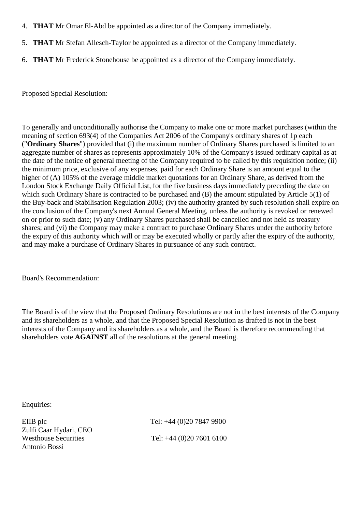- 4. **THAT** Mr Omar El-Abd be appointed as a director of the Company immediately.
- 5. **THAT** Mr Stefan Allesch-Taylor be appointed as a director of the Company immediately.
- 6. **THAT** Mr Frederick Stonehouse be appointed as a director of the Company immediately.

Proposed Special Resolution:

To generally and unconditionally authorise the Company to make one or more market purchases (within the meaning of section 693(4) of the Companies Act 2006 of the Company's ordinary shares of 1p each ("**Ordinary Shares**") provided that (i) the maximum number of Ordinary Shares purchased is limited to an aggregate number of shares as represents approximately 10% of the Company's issued ordinary capital as at the date of the notice of general meeting of the Company required to be called by this requisition notice; (ii) the minimum price, exclusive of any expenses, paid for each Ordinary Share is an amount equal to the higher of (A) 105% of the average middle market quotations for an Ordinary Share, as derived from the London Stock Exchange Daily Official List, for the five business days immediately preceding the date on which such Ordinary Share is contracted to be purchased and (B) the amount stipulated by Article 5(1) of the Buy-back and Stabilisation Regulation 2003; (iv) the authority granted by such resolution shall expire on the conclusion of the Company's next Annual General Meeting, unless the authority is revoked or renewed on or prior to such date; (v) any Ordinary Shares purchased shall be cancelled and not held as treasury shares; and (vi) the Company may make a contract to purchase Ordinary Shares under the authority before the expiry of this authority which will or may be executed wholly or partly after the expiry of the authority, and may make a purchase of Ordinary Shares in pursuance of any such contract.

Board's Recommendation:

The Board is of the view that the Proposed Ordinary Resolutions are not in the best interests of the Company and its shareholders as a whole, and that the Proposed Special Resolution as drafted is not in the best interests of the Company and its shareholders as a whole, and the Board is therefore recommending that shareholders vote **AGAINST** all of the resolutions at the general meeting.

Enquiries:

Zulfi Caar Hydari, CEO Antonio Bossi

EIIB plc Tel: +44 (0)20 7847 9900 Westhouse Securities Tel: +44 (0)20 7601 6100